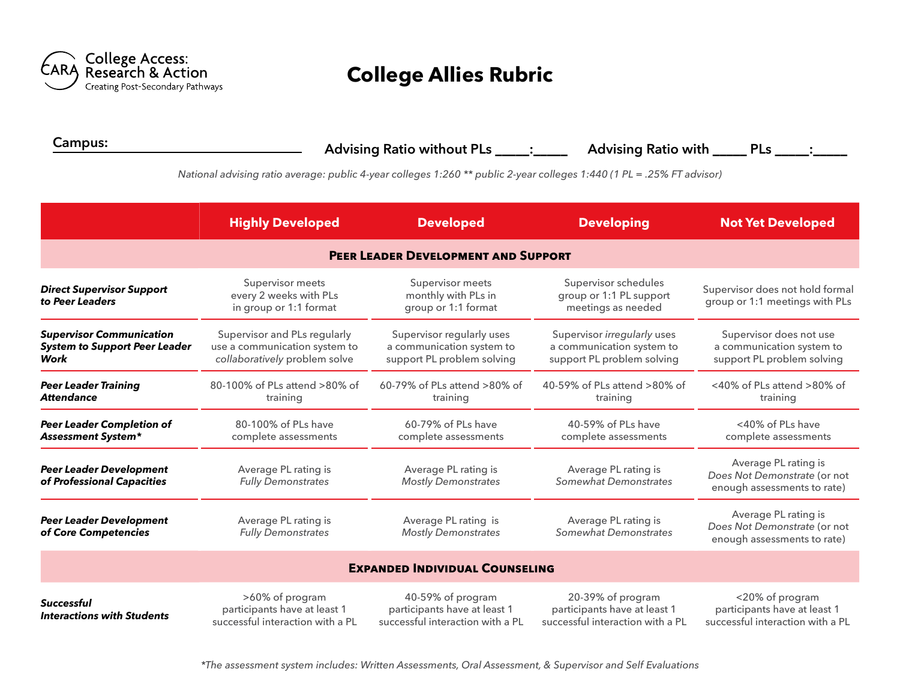

## **College Allies Rubric**

**Campus: Advising Ratio without PLs** \_\_\_\_\_**:**\_\_\_\_\_ **Advising Ratio with** \_\_\_\_\_ **PLs** \_\_\_\_\_**:**\_\_\_\_\_

*National advising ratio average: public 4-year colleges 1:260 \*\* public 2-year colleges 1:440 (1 PL = .25% FT advisor)*

|                                                                                 | <b>Highly Developed</b>                                                                        | <b>Developed</b>                                                                      | <b>Developing</b>                                                                      | <b>Not Yet Developed</b>                                                            |  |  |  |
|---------------------------------------------------------------------------------|------------------------------------------------------------------------------------------------|---------------------------------------------------------------------------------------|----------------------------------------------------------------------------------------|-------------------------------------------------------------------------------------|--|--|--|
| <b>PEER LEADER DEVELOPMENT AND SUPPORT</b>                                      |                                                                                                |                                                                                       |                                                                                        |                                                                                     |  |  |  |
| <b>Direct Supervisor Support</b><br>to Peer Leaders                             | Supervisor meets<br>every 2 weeks with PLs<br>in group or 1:1 format                           | Supervisor meets<br>monthly with PLs in<br>group or 1:1 format                        | Supervisor schedules<br>group or 1:1 PL support<br>meetings as needed                  | Supervisor does not hold formal<br>group or 1:1 meetings with PLs                   |  |  |  |
| <b>Supervisor Communication</b><br><b>System to Support Peer Leader</b><br>Work | Supervisor and PLs regularly<br>use a communication system to<br>collaboratively problem solve | Supervisor regularly uses<br>a communication system to<br>support PL problem solving  | Supervisor irregularly uses<br>a communication system to<br>support PL problem solving | Supervisor does not use<br>a communication system to<br>support PL problem solving  |  |  |  |
| <b>Peer Leader Training</b><br><b>Attendance</b>                                | 80-100% of PLs attend >80% of<br>training                                                      | 60-79% of PLs attend >80% of<br>training                                              | 40-59% of PLs attend >80% of<br>training                                               | <40% of PLs attend >80% of<br>training                                              |  |  |  |
| <b>Peer Leader Completion of</b><br><b>Assessment System*</b>                   | 80-100% of PLs have<br>complete assessments                                                    | 60-79% of PLs have<br>complete assessments                                            | 40-59% of PLs have<br>complete assessments                                             | <40% of PLs have<br>complete assessments                                            |  |  |  |
| <b>Peer Leader Development</b><br>of Professional Capacities                    | Average PL rating is<br><b>Fully Demonstrates</b>                                              | Average PL rating is<br><b>Mostly Demonstrates</b>                                    | Average PL rating is<br>Somewhat Demonstrates                                          | Average PL rating is<br>Does Not Demonstrate (or not<br>enough assessments to rate) |  |  |  |
| <b>Peer Leader Development</b><br>of Core Competencies                          | Average PL rating is<br><b>Fully Demonstrates</b>                                              | Average PL rating is<br><b>Mostly Demonstrates</b>                                    | Average PL rating is<br><b>Somewhat Demonstrates</b>                                   | Average PL rating is<br>Does Not Demonstrate (or not<br>enough assessments to rate) |  |  |  |
| <b>EXPANDED INDIVIDUAL COUNSELING</b>                                           |                                                                                                |                                                                                       |                                                                                        |                                                                                     |  |  |  |
| <b>Successful</b><br><b>Interactions with Students</b>                          | >60% of program<br>participants have at least 1<br>successful interaction with a PL            | 40-59% of program<br>participants have at least 1<br>successful interaction with a PL | 20-39% of program<br>participants have at least 1<br>successful interaction with a PL  | <20% of program<br>participants have at least 1<br>successful interaction with a PL |  |  |  |